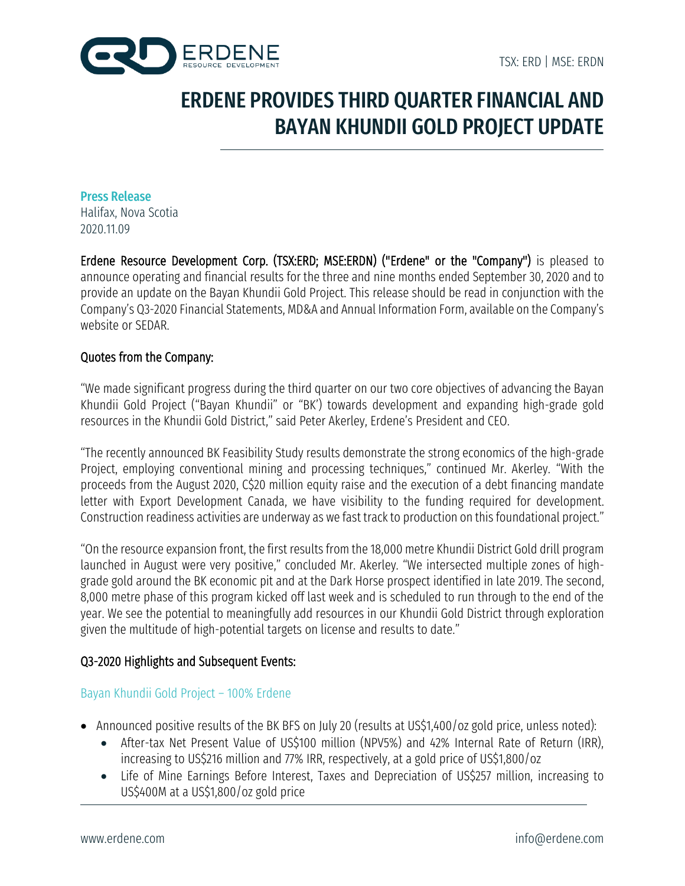

# ERDENE PROVIDES THIRD QUARTER FINANCIAL AND BAYAN KHUNDII GOLD PROJECT UPDATE

Press Release Halifax, Nova Scotia 2020.11.09

Erdene Resource Development Corp. (TSX:ERD; MSE:ERDN) ("Erdene" or the "Company") is pleased to announce operating and financial results for the three and nine months ended September 30, 2020 and to provide an update on the Bayan Khundii Gold Project. This release should be read in conjunction with the Company's Q3-2020 Financial Statements, MD&A and Annual Information Form, available on the Company's website or SEDAR.

## Quotes from the Company:

"We made significant progress during the third quarter on our two core objectives of advancing the Bayan Khundii Gold Project ("Bayan Khundii" or "BK') towards development and expanding high-grade gold resources in the Khundii Gold District," said Peter Akerley, Erdene's President and CEO.

"The recently announced BK Feasibility Study results demonstrate the strong economics of the high-grade Project, employing conventional mining and processing techniques," continued Mr. Akerley. "With the proceeds from the August 2020, C\$20 million equity raise and the execution of a debt financing mandate letter with Export Development Canada, we have visibility to the funding required for development. Construction readiness activities are underway as we fast track to production on this foundational project."

"On the resource expansion front, the first results from the 18,000 metre Khundii District Gold drill program launched in August were very positive," concluded Mr. Akerley. "We intersected multiple zones of highgrade gold around the BK economic pit and at the Dark Horse prospect identified in late 2019. The second, 8,000 metre phase of this program kicked off last week and is scheduled to run through to the end of the year. We see the potential to meaningfully add resources in our Khundii Gold District through exploration given the multitude of high-potential targets on license and results to date."

## Q3-2020 Highlights and Subsequent Events:

### Bayan Khundii Gold Project – 100% Erdene

- Announced positive results of the BK BFS on July 20 (results at US\$1,400/oz gold price, unless noted):
	- After-tax Net Present Value of US\$100 million (NPV5%) and 42% Internal Rate of Return (IRR), increasing to US\$216 million and 77% IRR, respectively, at a gold price of US\$1,800/oz
	- Life of Mine Earnings Before Interest, Taxes and Depreciation of US\$257 million, increasing to US\$400M at a US\$1,800/oz gold price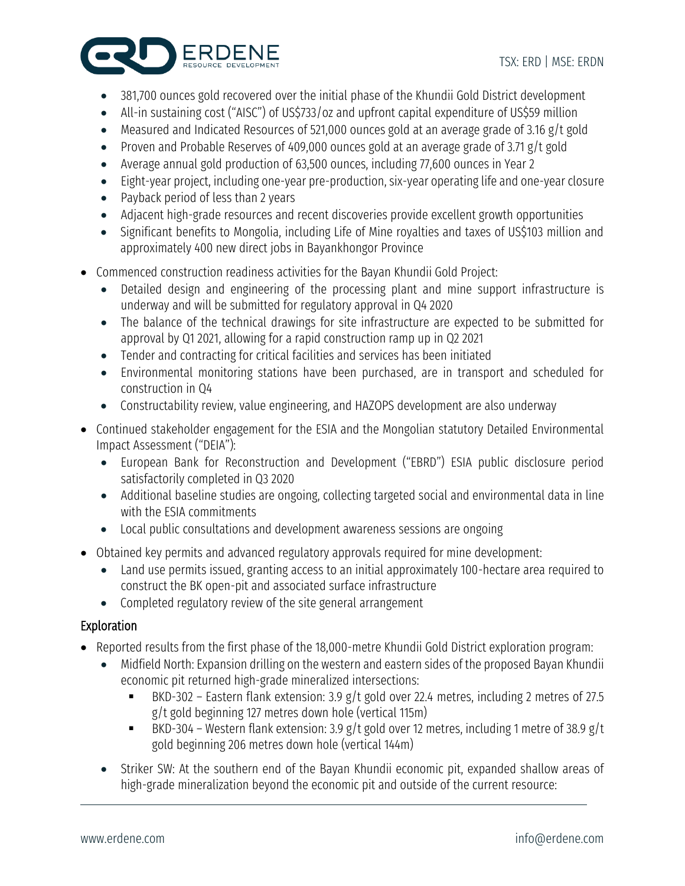

- 381,700 ounces gold recovered over the initial phase of the Khundii Gold District development
- All-in sustaining cost ("AISC") of US\$733/oz and upfront capital expenditure of US\$59 million
- Measured and Indicated Resources of 521,000 ounces gold at an average grade of 3.16 g/t gold
- Proven and Probable Reserves of 409,000 ounces gold at an average grade of 3.71 g/t gold
- Average annual gold production of 63,500 ounces, including 77,600 ounces in Year 2
- Eight-year project, including one-year pre-production, six-year operating life and one-year closure
- Payback period of less than 2 years
- Adjacent high-grade resources and recent discoveries provide excellent growth opportunities
- Significant benefits to Mongolia, including Life of Mine royalties and taxes of US\$103 million and approximately 400 new direct jobs in Bayankhongor Province
- Commenced construction readiness activities for the Bayan Khundii Gold Project:
	- Detailed design and engineering of the processing plant and mine support infrastructure is underway and will be submitted for regulatory approval in Q4 2020
	- The balance of the technical drawings for site infrastructure are expected to be submitted for approval by Q1 2021, allowing for a rapid construction ramp up in Q2 2021
	- Tender and contracting for critical facilities and services has been initiated
	- Environmental monitoring stations have been purchased, are in transport and scheduled for construction in Q4
	- Constructability review, value engineering, and HAZOPS development are also underway
- Continued stakeholder engagement for the ESIA and the Mongolian statutory Detailed Environmental Impact Assessment ("DEIA"):
	- European Bank for Reconstruction and Development ("EBRD") ESIA public disclosure period satisfactorily completed in Q3 2020
	- Additional baseline studies are ongoing, collecting targeted social and environmental data in line with the ESIA commitments
	- Local public consultations and development awareness sessions are ongoing
- Obtained key permits and advanced regulatory approvals required for mine development:
	- Land use permits issued, granting access to an initial approximately 100-hectare area required to construct the BK open-pit and associated surface infrastructure
	- Completed regulatory review of the site general arrangement

# Exploration

- Reported results from the first phase of the 18,000-metre Khundii Gold District exploration program:
	- Midfield North: Expansion drilling on the western and eastern sides of the proposed Bayan Khundii economic pit returned high-grade mineralized intersections:
		- BKD-302 Eastern flank extension: 3.9 g/t gold over 22.4 metres, including 2 metres of 27.5 g/t gold beginning 127 metres down hole (vertical 115m)
		- **EXECT:** BKD-304 Western flank extension: 3.9 g/t gold over 12 metres, including 1 metre of 38.9 g/t gold beginning 206 metres down hole (vertical 144m)
	- Striker SW: At the southern end of the Bayan Khundii economic pit, expanded shallow areas of high-grade mineralization beyond the economic pit and outside of the current resource: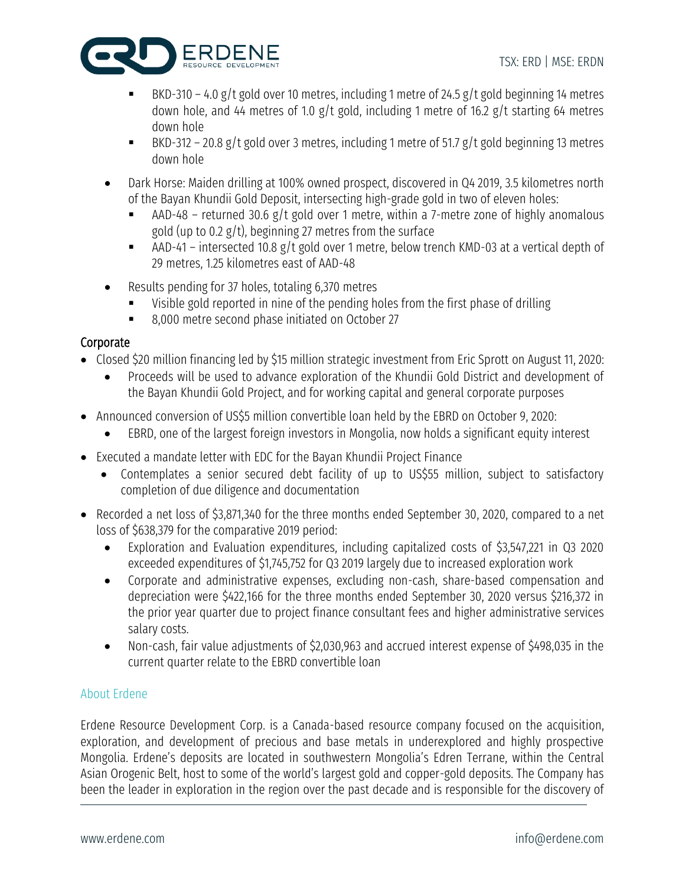

- BKD-310 4.0 g/t gold over 10 metres, including 1 metre of 24.5 g/t gold beginning 14 metres down hole, and 44 metres of 1.0 g/t gold, including 1 metre of 16.2 g/t starting 64 metres down hole
- BKD-312 20.8 g/t gold over 3 metres, including 1 metre of 51.7 g/t gold beginning 13 metres down hole
- Dark Horse: Maiden drilling at 100% owned prospect, discovered in Q4 2019, 3.5 kilometres north of the Bayan Khundii Gold Deposit, intersecting high-grade gold in two of eleven holes:
	- AAD-48 returned 30.6 g/t gold over 1 metre, within a 7-metre zone of highly anomalous gold (up to 0.2  $g/t$ ), beginning 27 metres from the surface
	- **EXECT** AAD-41 intersected 10.8 g/t gold over 1 metre, below trench KMD-03 at a vertical depth of 29 metres, 1.25 kilometres east of AAD-48
- Results pending for 37 holes, totaling 6,370 metres
	- Visible gold reported in nine of the pending holes from the first phase of drilling
	- 8,000 metre second phase initiated on October 27

# Corporate

- Closed \$20 million financing led by \$15 million strategic investment from Eric Sprott on August 11, 2020:
	- Proceeds will be used to advance exploration of the Khundii Gold District and development of the Bayan Khundii Gold Project, and for working capital and general corporate purposes
- Announced conversion of US\$5 million convertible loan held by the EBRD on October 9, 2020:
	- EBRD, one of the largest foreign investors in Mongolia, now holds a significant equity interest
- Executed a mandate letter with EDC for the Bayan Khundii Project Finance
	- Contemplates a senior secured debt facility of up to US\$55 million, subject to satisfactory completion of due diligence and documentation
- Recorded a net loss of \$3,871,340 for the three months ended September 30, 2020, compared to a net loss of \$638,379 for the comparative 2019 period:
	- Exploration and Evaluation expenditures, including capitalized costs of \$3,547,221 in Q3 2020 exceeded expenditures of \$1,745,752 for Q3 2019 largely due to increased exploration work
	- Corporate and administrative expenses, excluding non-cash, share-based compensation and depreciation were \$422,166 for the three months ended September 30, 2020 versus \$216,372 in the prior year quarter due to project finance consultant fees and higher administrative services salary costs.
	- Non-cash, fair value adjustments of \$2,030,963 and accrued interest expense of \$498,035 in the current quarter relate to the EBRD convertible loan

## About Erdene

Erdene Resource Development Corp. is a Canada-based resource company focused on the acquisition, exploration, and development of precious and base metals in underexplored and highly prospective Mongolia. Erdene's deposits are located in southwestern Mongolia's Edren Terrane, within the Central Asian Orogenic Belt, host to some of the world's largest gold and copper-gold deposits. The Company has been the leader in exploration in the region over the past decade and is responsible for the discovery of